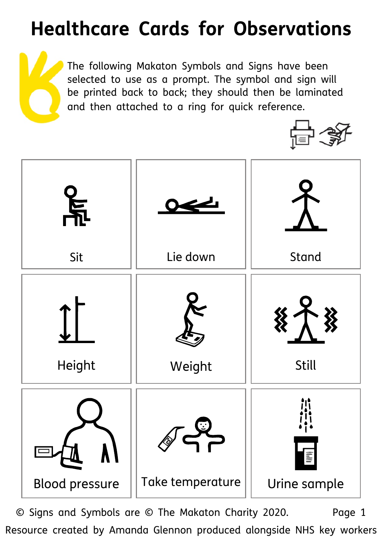## **Healthcare Cards for Observations**

The following Makaton Symbols and Signs have been selected to use as a prompt. The symbol and sign will be printed back to back; they should then be laminated and then attached to a ring for quick reference.





© Signs and Symbols are © The Makaton Charity 2020. Page 1 Resource created by Amanda Glennon produced alongside NHS key workers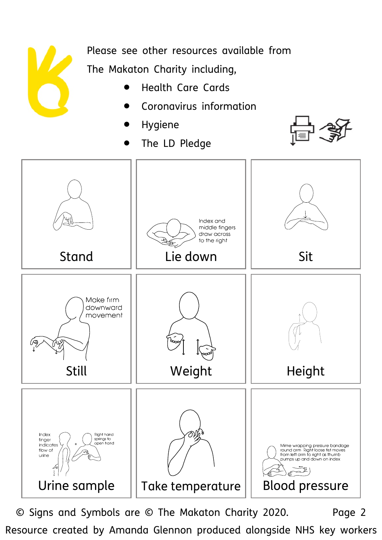

Please see other resources available from The Makaton Charity including,

- Health Care Cards
- Coronavirus information
- 
- The LD Pledge





© Signs and Symbols are © The Makaton Charity 2020. Page 2 Resource created by Amanda Glennon produced alongside NHS key workers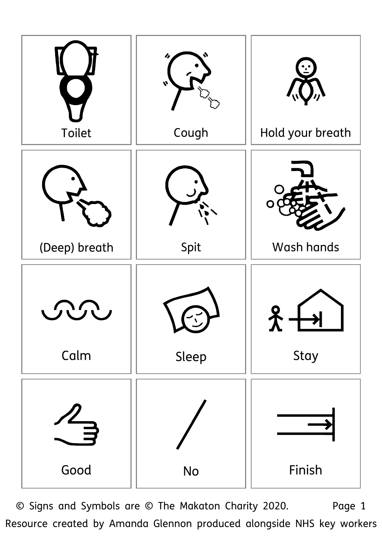

© Signs and Symbols are © The Makaton Charity 2020. Page 1 Resource created by Amanda Glennon produced alongside NHS key workers